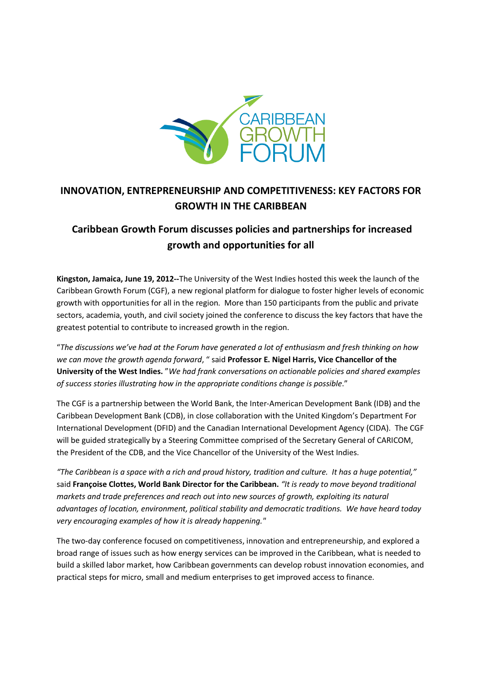

## INNOVATION, ENTREPRENEURSHIP AND COMPETITIVENESS: KEY FACTORS FOR GROWTH IN THE CARIBBEAN

## Caribbean Growth Forum discusses policies and partnerships for increased growth and opportunities for all

Kingston, Jamaica, June 19, 2012--The University of the West Indies hosted this week the launch of the Caribbean Growth Forum (CGF), a new regional platform for dialogue to foster higher levels of economic growth with opportunities for all in the region. More than 150 participants from the public and private sectors, academia, youth, and civil society joined the conference to discuss the key factors that have the greatest potential to contribute to increased growth in the region.

"The discussions we've had at the Forum have generated a lot of enthusiasm and fresh thinking on how we can move the growth agenda forward, " said Professor E. Nigel Harris, Vice Chancellor of the University of the West Indies. "We had frank conversations on actionable policies and shared examples of success stories illustrating how in the appropriate conditions change is possible."

The CGF is a partnership between the World Bank, the Inter-American Development Bank (IDB) and the Caribbean Development Bank (CDB), in close collaboration with the United Kingdom's Department For International Development (DFID) and the Canadian International Development Agency (CIDA). The CGF will be guided strategically by a Steering Committee comprised of the Secretary General of CARICOM, the President of the CDB, and the Vice Chancellor of the University of the West Indies.

"The Caribbean is a space with a rich and proud history, tradition and culture. It has a huge potential," said Françoise Clottes, World Bank Director for the Caribbean. "It is ready to move beyond traditional markets and trade preferences and reach out into new sources of growth, exploiting its natural advantages of location, environment, political stability and democratic traditions. We have heard today very encouraging examples of how it is already happening."

The two-day conference focused on competitiveness, innovation and entrepreneurship, and explored a broad range of issues such as how energy services can be improved in the Caribbean, what is needed to build a skilled labor market, how Caribbean governments can develop robust innovation economies, and practical steps for micro, small and medium enterprises to get improved access to finance.